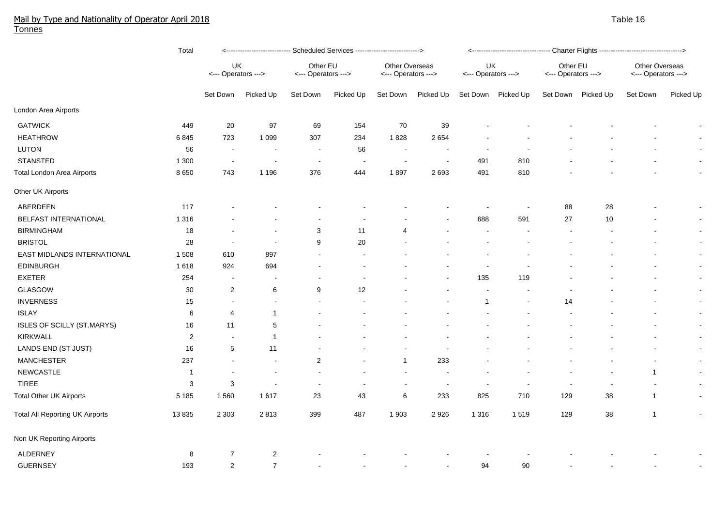## Mail by Type and Nationality of Operator April 2018 Table 16 and the control of the control of the control of the control of the control of the control of the control of the control of the control of the control of the con Tonnes

|                                        | Total          | <---------------------------- Scheduled Services ---------------------------> |                          |                                 |                          |                                       |                          | <---------------------------------- Charter Flights ---------------------------------> |           |                                 |                |                                       |                          |  |
|----------------------------------------|----------------|-------------------------------------------------------------------------------|--------------------------|---------------------------------|--------------------------|---------------------------------------|--------------------------|----------------------------------------------------------------------------------------|-----------|---------------------------------|----------------|---------------------------------------|--------------------------|--|
|                                        |                | UK<br><--- Operators --->                                                     |                          | Other EU<br><--- Operators ---> |                          | Other Overseas<br><--- Operators ---> |                          | UK<br><--- Operators --->                                                              |           | Other EU<br><--- Operators ---> |                | Other Overseas<br><--- Operators ---> |                          |  |
|                                        |                | Set Down                                                                      | Picked Up                | Set Down                        | Picked Up                | Set Down                              | Picked Up                | Set Down                                                                               | Picked Up | Set Down                        | Picked Up      | Set Down                              | Picked Up                |  |
| London Area Airports                   |                |                                                                               |                          |                                 |                          |                                       |                          |                                                                                        |           |                                 |                |                                       |                          |  |
| <b>GATWICK</b>                         | 449            | 20                                                                            | 97                       | 69                              | 154                      | $70\,$                                | 39                       |                                                                                        |           |                                 |                |                                       |                          |  |
| <b>HEATHROW</b>                        | 6845           | 723                                                                           | 1 0 9 9                  | 307                             | 234                      | 1828                                  | 2654                     |                                                                                        |           |                                 |                |                                       | $\sim$                   |  |
| LUTON                                  | 56             | $\overline{\phantom{a}}$                                                      | $\sim$                   | $\sim$                          | 56                       | $\sim$                                | $\overline{\phantom{a}}$ | $\overline{a}$                                                                         |           |                                 |                |                                       | $\overline{\phantom{a}}$ |  |
| <b>STANSTED</b>                        | 1 300          | $\overline{\phantom{a}}$                                                      | $\overline{\phantom{a}}$ | $\overline{\phantom{a}}$        | $\sim$                   | $\blacksquare$                        | $\overline{\phantom{a}}$ | 491                                                                                    | 810       |                                 |                |                                       | $\blacksquare$           |  |
| <b>Total London Area Airports</b>      | 8 6 5 0        | 743                                                                           | 1 1 9 6                  | 376                             | 444                      | 1897                                  | 2693                     | 491                                                                                    | 810       |                                 |                |                                       | $\blacksquare$           |  |
| Other UK Airports                      |                |                                                                               |                          |                                 |                          |                                       |                          |                                                                                        |           |                                 |                |                                       |                          |  |
| ABERDEEN                               | 117            |                                                                               |                          |                                 |                          |                                       |                          |                                                                                        |           | 88                              | 28             |                                       | $\overline{\phantom{a}}$ |  |
| BELFAST INTERNATIONAL                  | 1 3 1 6        |                                                                               |                          |                                 |                          |                                       |                          | 688                                                                                    | 591       | 27                              | 10             |                                       |                          |  |
| <b>BIRMINGHAM</b>                      | 18             |                                                                               | $\sim$                   | $\sqrt{3}$                      | 11                       | 4                                     |                          |                                                                                        |           |                                 |                |                                       | $\sim$                   |  |
| <b>BRISTOL</b>                         | 28             |                                                                               | $\overline{a}$           | 9                               | 20                       |                                       |                          |                                                                                        |           |                                 |                |                                       | $\blacksquare$           |  |
| EAST MIDLANDS INTERNATIONAL            | 1 508          | 610                                                                           | 897                      |                                 |                          |                                       |                          |                                                                                        |           |                                 |                |                                       | $\blacksquare$           |  |
| <b>EDINBURGH</b>                       | 1618           | 924                                                                           | 694                      |                                 |                          |                                       |                          |                                                                                        |           |                                 |                |                                       | $\blacksquare$           |  |
| <b>EXETER</b>                          | 254            | $\overline{\phantom{a}}$                                                      | $\overline{\phantom{a}}$ | $\overline{\phantom{a}}$        | $\blacksquare$           |                                       |                          | 135                                                                                    | 119       |                                 |                |                                       | $\blacksquare$           |  |
| GLASGOW                                | 30             | $\overline{c}$                                                                | 6                        | 9                               | 12                       |                                       |                          | $\sim$                                                                                 |           |                                 |                |                                       | $\blacksquare$           |  |
| <b>INVERNESS</b>                       | 15             | $\blacksquare$                                                                | $\sim$                   | $\sim$                          |                          |                                       |                          | $\mathbf{1}$                                                                           |           | 14                              |                |                                       | $\blacksquare$           |  |
| <b>ISLAY</b>                           | 6              | $\overline{4}$                                                                | $\mathbf{1}$             |                                 |                          |                                       |                          |                                                                                        |           |                                 |                |                                       | $\blacksquare$           |  |
| ISLES OF SCILLY (ST.MARYS)             | 16             | 11                                                                            | 5                        |                                 |                          |                                       |                          |                                                                                        |           |                                 |                |                                       | $\overline{\phantom{a}}$ |  |
| <b>KIRKWALL</b>                        | $\overline{2}$ |                                                                               | $\mathbf{1}$             |                                 |                          |                                       |                          |                                                                                        |           |                                 |                |                                       | $\blacksquare$           |  |
| LANDS END (ST JUST)                    | 16             | 5                                                                             | 11                       |                                 |                          |                                       |                          |                                                                                        |           |                                 |                |                                       | $\blacksquare$           |  |
| <b>MANCHESTER</b>                      | 237            | $\sim$                                                                        | $\sim$                   | $\overline{2}$                  |                          | $\mathbf{1}$                          | 233                      |                                                                                        |           |                                 |                |                                       | $\blacksquare$           |  |
| NEWCASTLE                              | $\overline{1}$ |                                                                               | $\blacksquare$           |                                 |                          |                                       |                          |                                                                                        |           |                                 |                | $\mathbf{1}$                          | $\blacksquare$           |  |
| <b>TIREE</b>                           | 3              | 3                                                                             |                          | $\overline{\phantom{a}}$        | $\overline{\phantom{a}}$ | $\sim$                                | $\overline{\phantom{a}}$ | $\overline{\phantom{a}}$                                                               |           | $\overline{\phantom{a}}$        | $\blacksquare$ | $\overline{\phantom{a}}$              | $\blacksquare$           |  |
| <b>Total Other UK Airports</b>         | 5 1 8 5        | 1560                                                                          | 1617                     | 23                              | 43                       | 6                                     | 233                      | 825                                                                                    | 710       | 129                             | 38             | $\mathbf{1}$                          | $\blacksquare$           |  |
| <b>Total All Reporting UK Airports</b> | 13835          | 2 3 0 3                                                                       | 2813                     | 399                             | 487                      | 1 9 0 3                               | 2926                     | 1 3 1 6                                                                                | 1519      | 129                             | 38             | $\mathbf{1}$                          | $\blacksquare$           |  |
| Non UK Reporting Airports              |                |                                                                               |                          |                                 |                          |                                       |                          |                                                                                        |           |                                 |                |                                       |                          |  |
| <b>ALDERNEY</b>                        | 8              | $\overline{7}$                                                                | $\overline{c}$           |                                 |                          |                                       |                          |                                                                                        |           |                                 |                |                                       |                          |  |
| <b>GUERNSEY</b>                        | 193            | $\overline{2}$                                                                | $\overline{7}$           |                                 |                          |                                       | $\blacksquare$           | 94                                                                                     | 90        |                                 |                |                                       |                          |  |